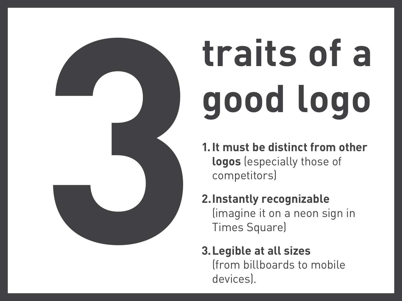

## **traits of a good logo**

**1.It must be distinct from other logos** (especially those of competitors)

### **2.Instantly recognizable** (imagine it on a neon sign in Times Square)

### **3.Legible at all sizes**  (from billboards to mobile devices).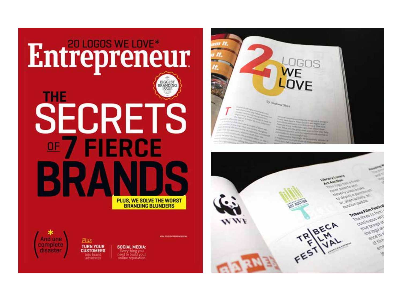### Entrepreneur **BIGGEST BRANDING**<br>ISSUE **THE** SECRE OF 7 FIERCE PLUS, WE SOLVE THE WORST **BRANDING BLUNDERS**



APRIL 2012 ELEVERY MINUTENE COM

**TURN YOUR CUSTOMERS** 

Plus

into brand advocates



**LOGOS**<br> **WE**<br>
LOVE By Andrew Shea tion of them. Applied it have the constitution and implied on all.<br>Some disease hallowers in the conduct of the constitution of the constitution of the constitution of the const on are main confirmed light that follow them before sens the great comes spent in Mar they be on converse with the temperature the second company of the same A statement in Debt might be done It resigns these resultings breaks of lesses

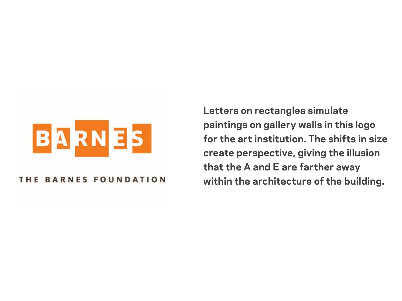

THE BARNES FOUNDATION

**Letters on rectangles simulate paintings on gallery walls in this logo for the art institution. The shifts in size create perspective, giving the illusion that the A and E are farther away within the architecture of the building.**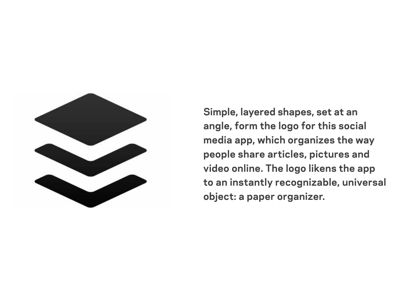

**Simple, layered shapes, set at an angle, form the logo for this social media app, which organizes the way people share articles, pictures and video online. The logo likens the app to an instantly recognizable, universal object: a paper organizer.**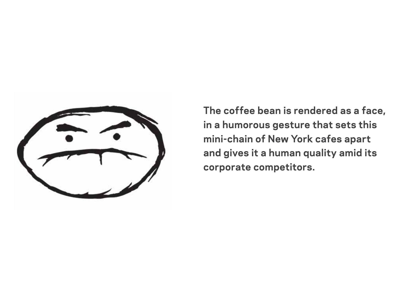

**The coffee bean is rendered as a face, in a humorous gesture that sets this mini-chain of New York cafes apart and gives it a human quality amid its corporate competitors.**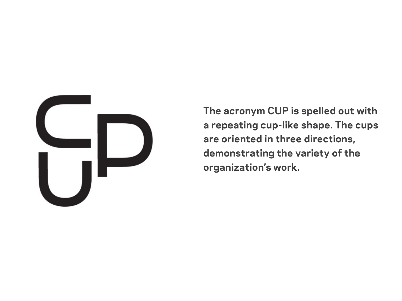

**The acronym CUP is spelled out with a repeating cup-like shape. The cups are oriented in three directions, demonstrating the variety of the organization's work.**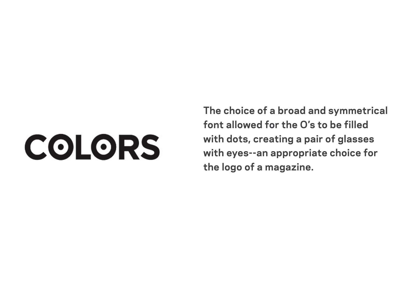### COLORS

**The choice of a broad and symmetrical font allowed for the O's to be filled with dots, creating a pair of glasses with eyes--an appropriate choice for the logo of a magazine.**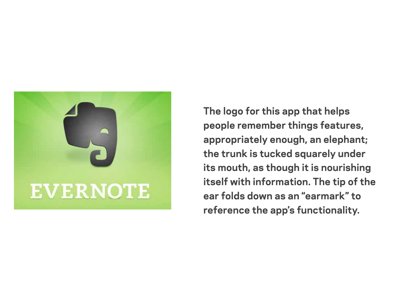

**The logo for this app that helps people remember things features, appropriately enough, an elephant; the trunk is tucked squarely under its mouth, as though it is nourishing itself with information. The tip of the ear folds down as an "earmark" to reference the app's functionality.**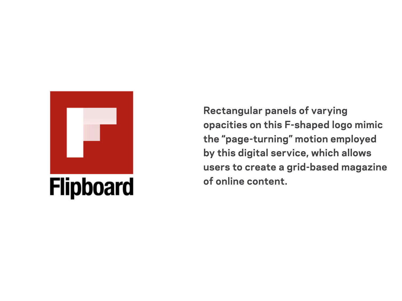

**Rectangular panels of varying opacities on this F-shaped logo mimic the "page-turning" motion employed by this digital service, which allows users to create a grid-based magazine of online content.**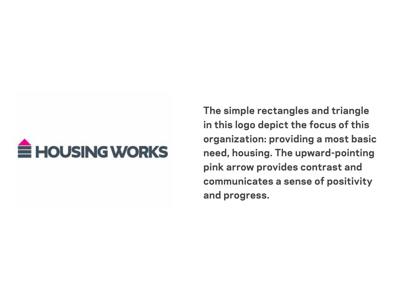

**The simple rectangles and triangle in this logo depict the focus of this organization: providing a most basic need, housing. The upward-pointing pink arrow provides contrast and communicates a sense of positivity and progress.**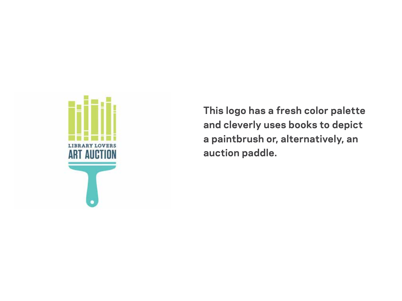

**This logo has a fresh color palette and cleverly uses books to depict a paintbrush or, alternatively, an auction paddle.**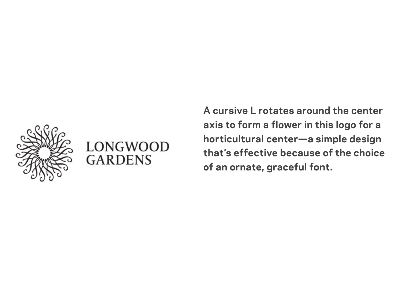



**A cursive L rotates around the center axis to form a flower in this logo for a horticultural center—a simple design that's effective because of the choice of an ornate, graceful font.**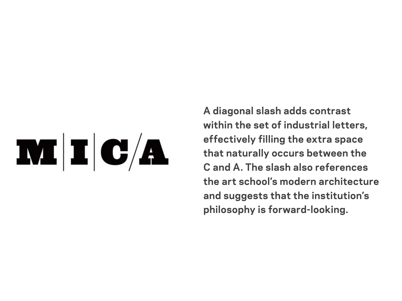## MITGA

**A diagonal slash adds contrast within the set of industrial letters, effectively filling the extra space that naturally occurs between the C and A. The slash also references the art school's modern architecture and suggests that the institution's philosophy is forward-looking.**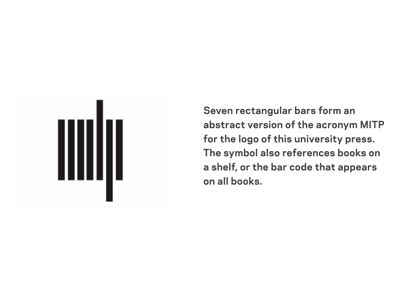

**Seven rectangular bars form an abstract version of the acronym MITP for the logo of this university press. The symbol also references books on a shelf, or the bar code that appears on all books.**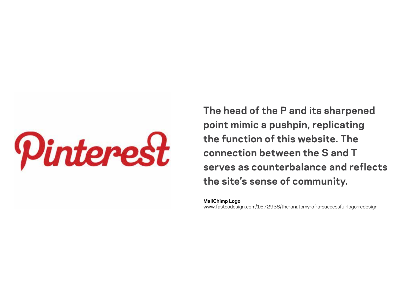

**The head of the P and its sharpened point mimic a pushpin, replicating the function of this website. The connection between the S and T serves as counterbalance and reflects the site's sense of community.** 

**MailChimp Logo** www.fastcodesign.com/1672938/the-anatomy-of-a-successful-logo-redesign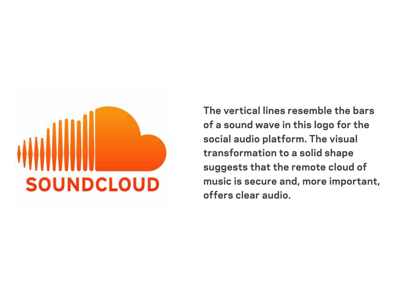

**The vertical lines resemble the bars of a sound wave in this logo for the social audio platform. The visual transformation to a solid shape suggests that the remote cloud of music is secure and, more important, offers clear audio.**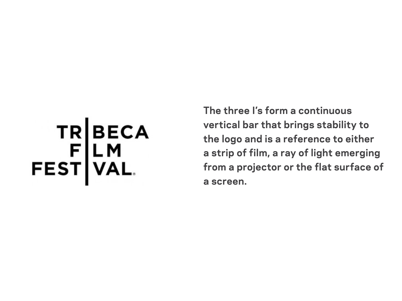## TR BECA<br>F LM<br>FEST VAL.

**The three I's form a continuous vertical bar that brings stability to the logo and is a reference to either a strip of film, a ray of light emerging from a projector or the flat surface of a screen.**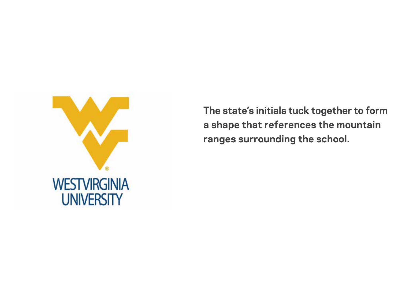

**The state's initials tuck together to form a shape that references the mountain ranges surrounding the school.**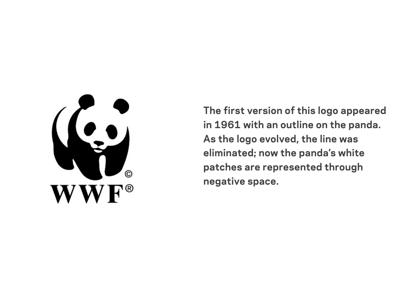

**The first version of this logo appeared in 1961 with an outline on the panda. As the logo evolved, the line was eliminated; now the panda's white patches are represented through negative space.**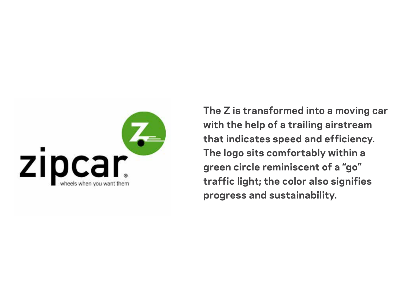

**The Z is transformed into a moving car with the help of a trailing airstream that indicates speed and efficiency. The logo sits comfortably within a green circle reminiscent of a "go" traffic light; the color also signifies progress and sustainability.**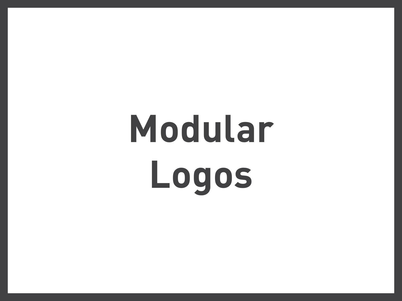## **Modular Logos**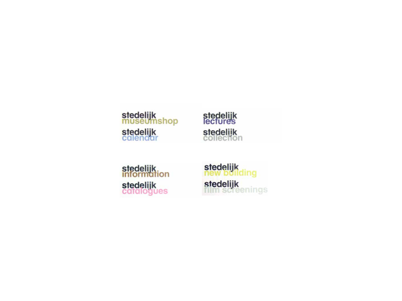stedelijk<br>museumshop stedelijk<br>calendar



stedelijk<br>information stedelijk<br>catalogues

stedelijk<br>new building stedelijk<br>In Screenings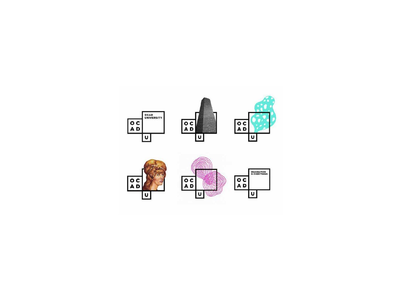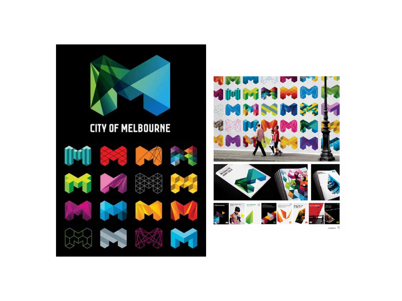

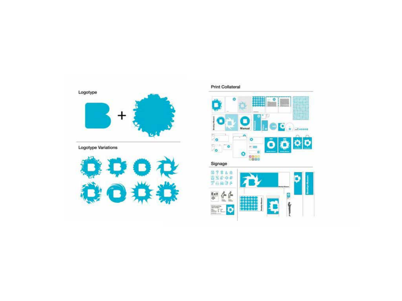

**Logotype Variations** 



#### **Print Collateral**

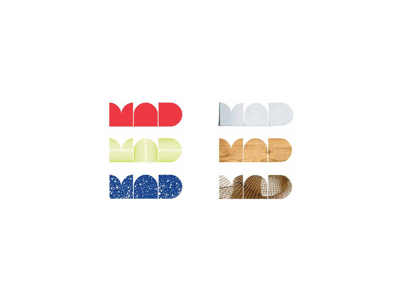









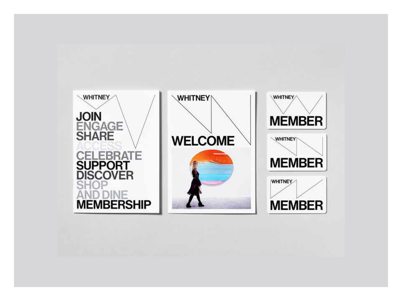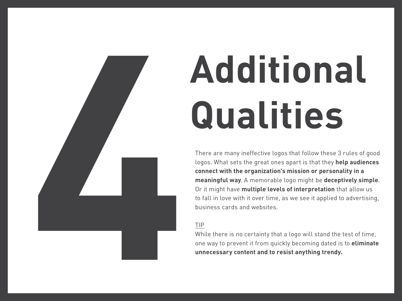# **One way to prevent it from quickly becoming date of eliminate 44 and to the present in the content with the experimental property of the present and to resist anything trendy. While there is no contrading to the presentat Additional Qualities**

There are many ineffective logos that follow these 3 rules of good logos. What sets the great ones apart is that they **help audiences connect with the organization's mission or personality in a meaningful way**. A memorable logo might be **deceptively simple**. Or it might have **multiple levels of interpretation** that allow us to fall in love with it over time, as we see it applied to advertising, business cards and websites.

### TIP

While there is no certainty that a logo will stand the test of time,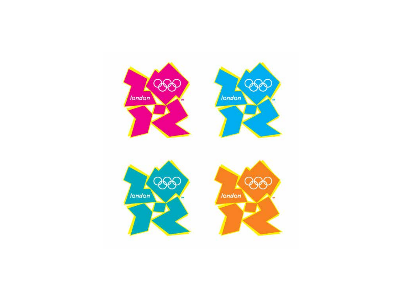

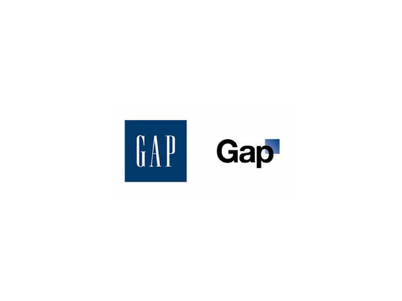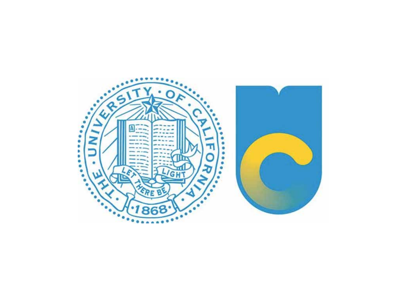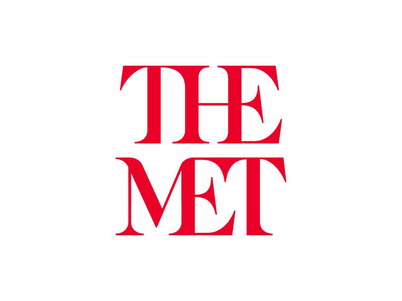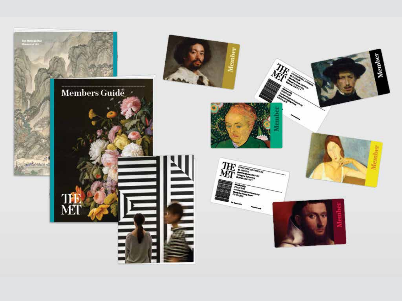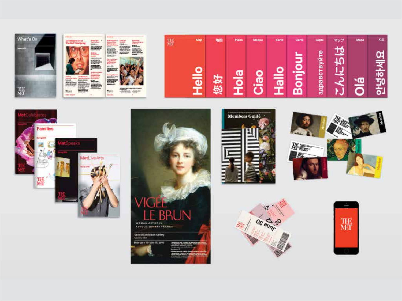

m